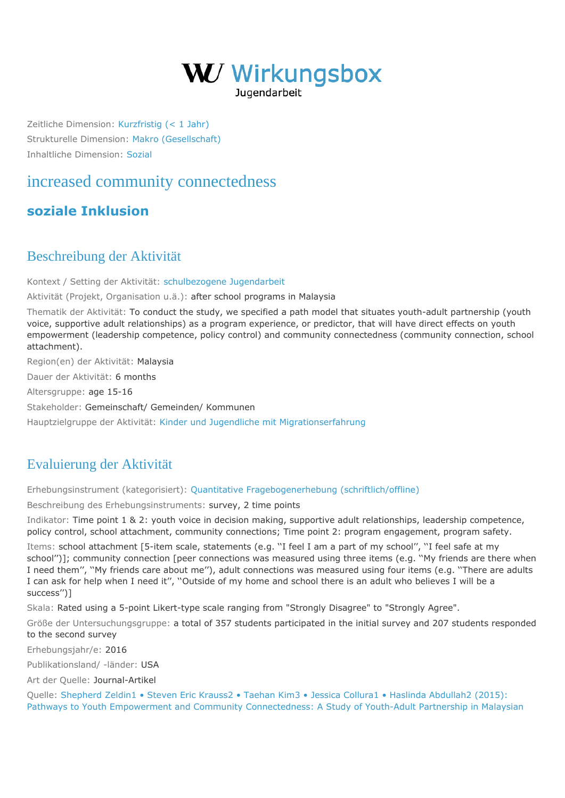

Zeitliche Dimension: [Kurzfristig \(< 1 Jahr\)](https://wirkungsbox.at/jart/prj3/wirkungsbox/main.jart?rel=de&content-id=1543322834577&p_zeitlichedimension_id=1551812792598) Strukturelle Dimension: [Makro \(Gesellschaft\)](https://wirkungsbox.at/jart/prj3/wirkungsbox/main.jart?rel=de&content-id=1543322834577&p_strukturelledimension_id=1551812792648) Inhaltliche Dimension: [Sozial](https://wirkungsbox.at/jart/prj3/wirkungsbox/main.jart?rel=de&content-id=1543322834577&p_inhaltlichedimension_id=1551812792546)

## [increased community connectedness](https://wirkungsbox.at/jart/prj3/wirkungsbox/main.jart?rel=de&content-id=1543322835804&wirkung_id=1543323661300)

## **[soziale Inklusion](https://wirkungsbox.at/jart/prj3/wirkungsbox/main.jart?rel=de&content-id=1543322834577&p_hauptwirkung_id=1543323664123)**

## Beschreibung der Aktivität

Kontext / Setting der Aktivität: [schulbezogene Jugendarbeit](https://wirkungsbox.at/jart/prj3/wirkungsbox/main.jart?rel=de&content-id=1543322834577&p_setting_id=1543323664322)

Aktivität (Projekt, Organisation u.ä.): after school programs in Malaysia

Thematik der Aktivität: To conduct the study, we specified a path model that situates youth-adult partnership (youth voice, supportive adult relationships) as a program experience, or predictor, that will have direct effects on youth empowerment (leadership competence, policy control) and community connectedness (community connection, school attachment).

Region(en) der Aktivität: Malaysia

Dauer der Aktivität: 6 months

Altersgruppe: age 15-16

Stakeholder: Gemeinschaft/ Gemeinden/ Kommunen

Hauptzielgruppe der Aktivität: [Kinder und Jugendliche mit Migrationserfahrung](https://wirkungsbox.at/jart/prj3/wirkungsbox/main.jart?rel=de&content-id=1543322834577&p_zielgruppe_id=1543323664418)

## Evaluierung der Aktivität

Erhebungsinstrument (kategorisiert): [Quantitative Fragebogenerhebung \(schriftlich/offline\)](https://wirkungsbox.at/jart/prj3/wirkungsbox/main.jart?rel=de&content-id=1543322834577&p_erhebungsinstrument_id=1551812792254)

Beschreibung des Erhebungsinstruments: survey, 2 time points

Indikator: Time point 1 & 2: youth voice in decision making, supportive adult relationships, leadership competence, policy control, school attachment, community connections; Time point 2: program engagement, program safety.

Items: school attachment [5-item scale, statements (e.g. ''I feel I am a part of my school'', ''I feel safe at my school'')]; community connection [peer connections was measured using three items (e.g. ''My friends are there when I need them'', ''My friends care about me''), adult connections was measured using four items (e.g. ''There are adults I can ask for help when I need it'', ''Outside of my home and school there is an adult who believes I will be a success'')]

Skala: Rated using a 5-point Likert-type scale ranging from "Strongly Disagree" to "Strongly Agree".

Größe der Untersuchungsgruppe: a total of 357 students participated in the initial survey and 207 students responded to the second survey

Erhebungsjahr/e: 2016

Publikationsland/ -länder: USA

Art der Quelle: Journal-Artikel

Quelle: [Shepherd Zeldin1 • Steven Eric Krauss2 • Taehan Kim3 • Jessica Collura1 • Haslinda Abdullah2 \(2015\):](https://wirkungsbox.at/jart/prj3/wirkungsbox/main.jart?rel=de&content-id=1543322834577&p_quelle_id=1553761843231) [Pathways to Youth Empowerment and Community Connectedness: A Study of Youth-Adult Partnership in Malaysian](https://wirkungsbox.at/jart/prj3/wirkungsbox/main.jart?rel=de&content-id=1543322834577&p_quelle_id=1553761843231)